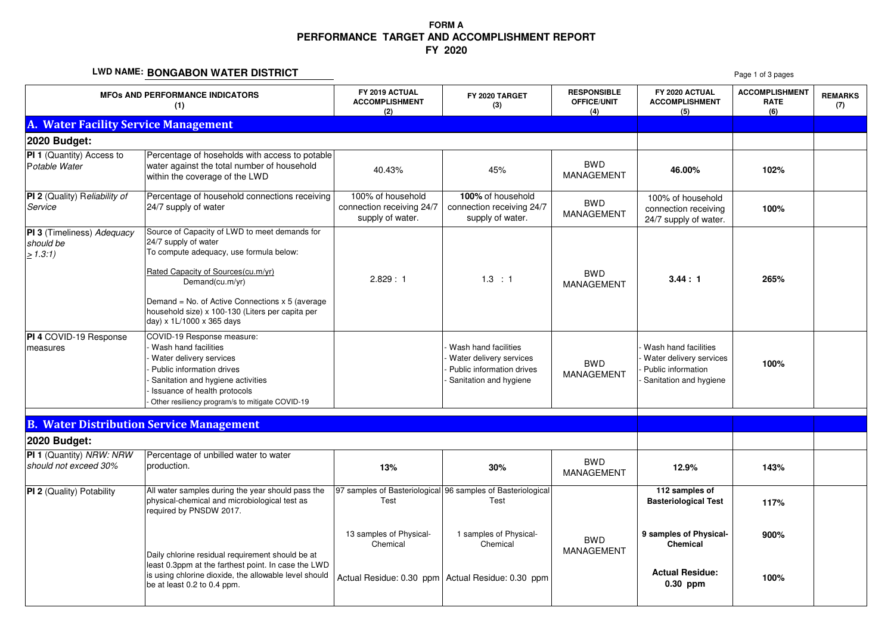## **FORM A PERFORMANCE TARGET AND ACCOMPLISHMENT REPORTFY 2020**

### **LWD NAME: BONGABON WATER DISTRICT**

|                                                    | LWD NAME. BUNGABUN WATER DISTRICT                                                                                                                                                                                                                                                                               |                                                                    |                                                                                                        |                                                 |                                                                                                 | Page 1 of 3 pages                           |                       |
|----------------------------------------------------|-----------------------------------------------------------------------------------------------------------------------------------------------------------------------------------------------------------------------------------------------------------------------------------------------------------------|--------------------------------------------------------------------|--------------------------------------------------------------------------------------------------------|-------------------------------------------------|-------------------------------------------------------------------------------------------------|---------------------------------------------|-----------------------|
| <b>MFOs AND PERFORMANCE INDICATORS</b><br>(1)      |                                                                                                                                                                                                                                                                                                                 | FY 2019 ACTUAL<br><b>ACCOMPLISHMENT</b><br>(2)                     | FY 2020 TARGET<br>(3)                                                                                  | <b>RESPONSIBLE</b><br><b>OFFICE/UNIT</b><br>(4) | FY 2020 ACTUAL<br><b>ACCOMPLISHMENT</b><br>(5)                                                  | <b>ACCOMPLISHMENT</b><br><b>RATE</b><br>(6) | <b>REMARKS</b><br>(7) |
| A. Water Facility Service Management               |                                                                                                                                                                                                                                                                                                                 |                                                                    |                                                                                                        |                                                 |                                                                                                 |                                             |                       |
| 2020 Budget:                                       |                                                                                                                                                                                                                                                                                                                 |                                                                    |                                                                                                        |                                                 |                                                                                                 |                                             |                       |
| PI 1 (Quantity) Access to<br>Potable Water         | Percentage of hoseholds with access to potable<br>water against the total number of household<br>within the coverage of the LWD                                                                                                                                                                                 | 40.43%                                                             | 45%                                                                                                    | <b>BWD</b><br><b>MANAGEMENT</b>                 | 46.00%                                                                                          | 102%                                        |                       |
| PI 2 (Quality) Reliability of<br>Service           | Percentage of household connections receiving<br>24/7 supply of water                                                                                                                                                                                                                                           | 100% of household<br>connection receiving 24/7<br>supply of water. | 100% of household<br>connection receiving 24/7<br>supply of water.                                     | <b>BWD</b><br>MANAGEMENT                        | 100% of household<br>connection receiving<br>24/7 supply of water.                              | 100%                                        |                       |
| PI 3 (Timeliness) Adequacy<br>should be<br>> 1.3:1 | Source of Capacity of LWD to meet demands for<br>24/7 supply of water<br>To compute adequacy, use formula below:<br>Rated Capacity of Sources(cu.m/yr)<br>Demand(cu.m/yr)<br>Demand = No. of Active Connections $x$ 5 (average<br>household size) x 100-130 (Liters per capita per<br>day) x 1L/1000 x 365 days | 2.829 : 1                                                          | 1.3 : 1                                                                                                | <b>BWD</b><br><b>MANAGEMENT</b>                 | 3.44:1                                                                                          | 265%                                        |                       |
| PI 4 COVID-19 Response<br>measures                 | COVID-19 Response measure:<br>Wash hand facilities<br>Water delivery services<br>Public information drives<br>Sanitation and hygiene activities<br>Issuance of health protocols<br>Other resiliency program/s to mitigate COVID-19                                                                              |                                                                    | Wash hand facilities<br>Water delivery services<br>Public information drives<br>Sanitation and hygiene | <b>BWD</b><br><b>MANAGEMENT</b>                 | Wash hand facilities<br>Water delivery services<br>Public information<br>Sanitation and hygiene | 100%                                        |                       |
|                                                    | <b>B. Water Distribution Service Management</b>                                                                                                                                                                                                                                                                 |                                                                    |                                                                                                        |                                                 |                                                                                                 |                                             |                       |
| 2020 Budget:                                       |                                                                                                                                                                                                                                                                                                                 |                                                                    |                                                                                                        |                                                 |                                                                                                 |                                             |                       |
| PI 1 (Quantity) NRW: NRW<br>should not exceed 30%  | Percentage of unbilled water to water<br>production.                                                                                                                                                                                                                                                            | 13%                                                                | 30%                                                                                                    | <b>BWD</b><br><b>MANAGEMENT</b>                 | 12.9%                                                                                           | 143%                                        |                       |
| PI 2 (Quality) Potability                          | All water samples during the year should pass the<br>physical-chemical and microbiological test as<br>required by PNSDW 2017.                                                                                                                                                                                   | Test                                                               | 97 samples of Basteriological 96 samples of Basteriological<br>Test                                    |                                                 | 112 samples of<br><b>Basteriological Test</b>                                                   | 117%                                        |                       |
|                                                    | Daily chlorine residual requirement should be at<br>east 0.3ppm at the farthest point. In case the LWD<br>is using chlorine dioxide, the allowable level should<br>be at least 0.2 to 0.4 ppm.                                                                                                                  | 13 samples of Physical-<br>Chemical                                | 1 samples of Physical-<br>Chemical                                                                     | <b>BWD</b><br><b>MANAGEMENT</b>                 | 9 samples of Physical-<br>Chemical                                                              | 900%                                        |                       |
|                                                    |                                                                                                                                                                                                                                                                                                                 |                                                                    | Actual Residue: 0.30 ppm Actual Residue: 0.30 ppm                                                      |                                                 | <b>Actual Residue:</b><br>$0.30$ ppm                                                            | 100%                                        |                       |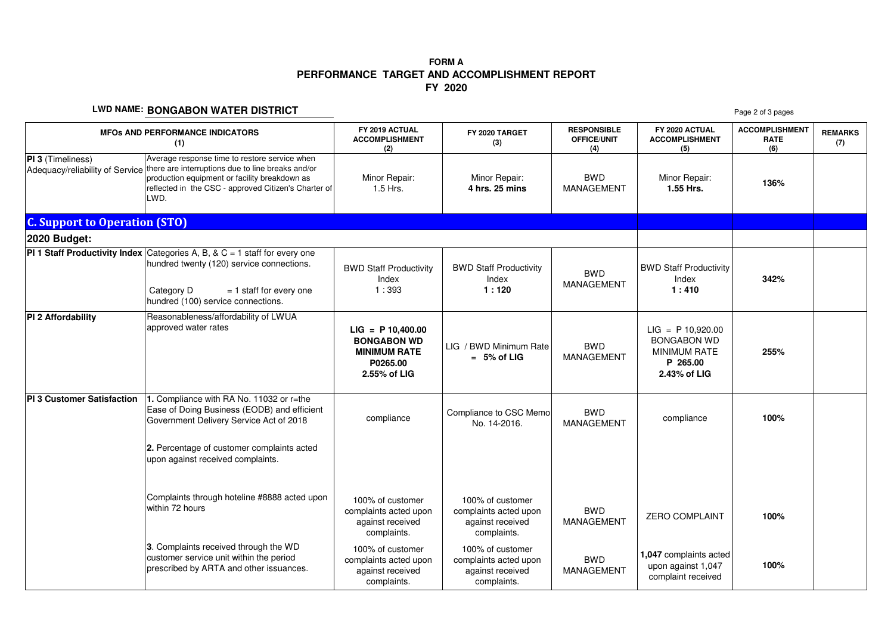# **PERFORMANCE TARGET AND ACCOMPLISHMENT REPORT FY 2020FORM A**

#### **LWD NAME: BONGABON WATER DISTRICT**

| LWD NAME. BUNGABUN WATER DISTRICT<br>Page 2 of 3 pages |                                                                                                                                                                                                                     |                                                                                              |                                                                              |                                                 |                                                                                              |                                             |                       |
|--------------------------------------------------------|---------------------------------------------------------------------------------------------------------------------------------------------------------------------------------------------------------------------|----------------------------------------------------------------------------------------------|------------------------------------------------------------------------------|-------------------------------------------------|----------------------------------------------------------------------------------------------|---------------------------------------------|-----------------------|
| <b>MFOS AND PERFORMANCE INDICATORS</b><br>(1)          |                                                                                                                                                                                                                     | FY 2019 ACTUAL<br><b>ACCOMPLISHMENT</b><br>(2)                                               | FY 2020 TARGET<br>(3)                                                        | <b>RESPONSIBLE</b><br><b>OFFICE/UNIT</b><br>(4) | FY 2020 ACTUAL<br><b>ACCOMPLISHMENT</b><br>(5)                                               | <b>ACCOMPLISHMENT</b><br><b>RATE</b><br>(6) | <b>REMARKS</b><br>(7) |
| PI 3 (Timeliness)<br>Adequacy/reliability of Service   | Average response time to restore service when<br>there are interruptions due to line breaks and/or<br>production equipment or facility breakdown as<br>reflected in the CSC - approved Citizen's Charter of<br>LWD. | Minor Repair:<br>1.5 Hrs.                                                                    | Minor Repair:<br>4 hrs. 25 mins                                              | <b>BWD</b><br><b>MANAGEMENT</b>                 | Minor Repair:<br>1.55 Hrs.                                                                   | 136%                                        |                       |
| <b>C. Support to Operation (STO)</b>                   |                                                                                                                                                                                                                     |                                                                                              |                                                                              |                                                 |                                                                                              |                                             |                       |
| 2020 Budget:                                           |                                                                                                                                                                                                                     |                                                                                              |                                                                              |                                                 |                                                                                              |                                             |                       |
|                                                        | <b>PI 1 Staff Productivity Index</b> Categories A, B, & $C = 1$ staff for every one<br>hundred twenty (120) service connections.<br>Category D<br>$= 1$ staff for every one<br>hundred (100) service connections.   | <b>BWD Staff Productivity</b><br>Index<br>1:393                                              | <b>BWD Staff Productivity</b><br>Index<br>1:120                              | <b>BWD</b><br>MANAGEMENT                        | <b>BWD Staff Productivity</b><br>Index<br>1:410                                              | 342%                                        |                       |
| PI 2 Affordability                                     | Reasonableness/affordability of LWUA<br>approved water rates                                                                                                                                                        | $LIG = P 10,400.00$<br><b>BONGABON WD</b><br><b>MINIMUM RATE</b><br>P0265.00<br>2.55% of LIG | LIG / BWD Minimum Rate<br>$= 5%$ of LIG                                      | <b>BWD</b><br><b>MANAGEMENT</b>                 | $LIG = P 10,920.00$<br><b>BONGABON WD</b><br><b>MINIMUM RATE</b><br>P 265.00<br>2.43% of LIG | 255%                                        |                       |
| PI 3 Customer Satisfaction                             | 1. Compliance with RA No. 11032 or r=the<br>Ease of Doing Business (EODB) and efficient<br>Government Delivery Service Act of 2018                                                                                  | compliance                                                                                   | Compliance to CSC Memo<br>No. 14-2016.                                       | <b>BWD</b><br><b>MANAGEMENT</b>                 | compliance                                                                                   | 100%                                        |                       |
|                                                        | 2. Percentage of customer complaints acted<br>upon against received complaints.                                                                                                                                     |                                                                                              |                                                                              |                                                 |                                                                                              |                                             |                       |
|                                                        | Complaints through hoteline #8888 acted upon<br>within 72 hours                                                                                                                                                     | 100% of customer<br>complaints acted upon<br>against received<br>complaints.                 | 100% of customer<br>complaints acted upon<br>against received<br>complaints. | <b>BWD</b><br><b>MANAGEMENT</b>                 | <b>ZERO COMPLAINT</b>                                                                        | 100%                                        |                       |
|                                                        | 3. Complaints received through the WD<br>customer service unit within the period<br>prescribed by ARTA and other issuances.                                                                                         | 100% of customer<br>complaints acted upon<br>against received<br>complaints.                 | 100% of customer<br>complaints acted upon<br>against received<br>complaints. | <b>BWD</b><br><b>MANAGEMENT</b>                 | 1,047 complaints acted<br>upon against 1,047<br>complaint received                           | 100%                                        |                       |